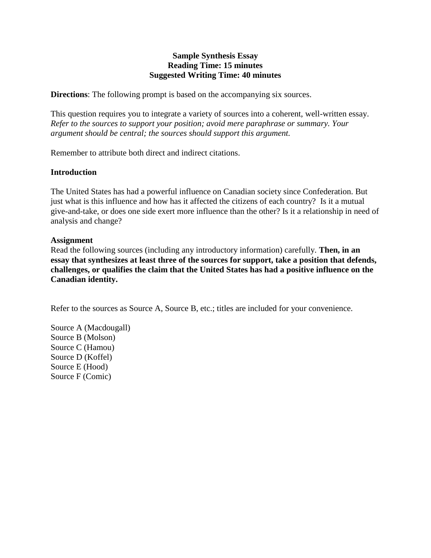#### **Sample Synthesis Essay Reading Time: 15 minutes Suggested Writing Time: 40 minutes**

**Directions**: The following prompt is based on the accompanying six sources.

This question requires you to integrate a variety of sources into a coherent, well-written essay. *Refer to the sources to support your position; avoid mere paraphrase or summary. Your argument should be central; the sources should support this argument.*

Remember to attribute both direct and indirect citations.

#### **Introduction**

The United States has had a powerful influence on Canadian society since Confederation. But just what is this influence and how has it affected the citizens of each country? Is it a mutual give-and-take, or does one side exert more influence than the other? Is it a relationship in need of analysis and change?

#### **Assignment**

Read the following sources (including any introductory information) carefully. **Then, in an essay that synthesizes at least three of the sources for support, take a position that defends, challenges, or qualifies the claim that the United States has had a positive influence on the Canadian identity.** 

Refer to the sources as Source A, Source B, etc.; titles are included for your convenience.

Source A (Macdougall) Source B (Molson) Source C (Hamou) Source D (Koffel) Source E (Hood) Source F (Comic)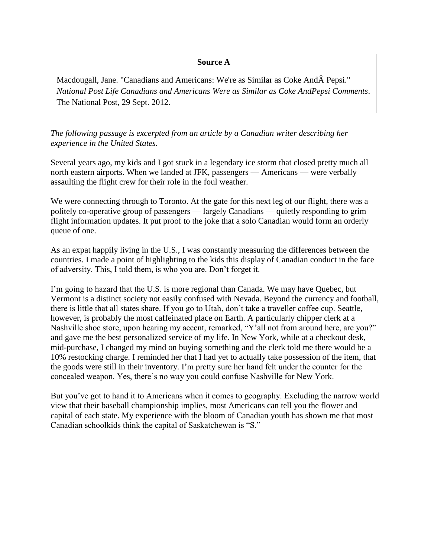## **Source A**

Macdougall, Jane. "Canadians and Americans: We're as Similar as Coke AndÂ Pepsi." *National Post Life Canadians and Americans Were as Similar as Coke AndPepsi Comments*. The National Post, 29 Sept. 2012.

*The following passage is excerpted from an article by a Canadian writer describing her experience in the United States.* 

Several years ago, my kids and I got stuck in a legendary ice storm that closed pretty much all north eastern airports. When we landed at JFK, passengers — Americans — were verbally assaulting the flight crew for their role in the foul weather.

We were connecting through to Toronto. At the gate for this next leg of our flight, there was a politely co-operative group of passengers — largely Canadians — quietly responding to grim flight information updates. It put proof to the joke that a solo Canadian would form an orderly queue of one.

As an expat happily living in the U.S., I was constantly measuring the differences between the countries. I made a point of highlighting to the kids this display of Canadian conduct in the face of adversity. This, I told them, is who you are. Don't forget it.

I'm going to hazard that the U.S. is more regional than Canada. We may have Quebec, but Vermont is a distinct society not easily confused with Nevada. Beyond the currency and football, there is little that all states share. If you go to Utah, don't take a traveller coffee cup. Seattle, however, is probably the most caffeinated place on Earth. A particularly chipper clerk at a Nashville shoe store, upon hearing my accent, remarked, "Y'all not from around here, are you?" and gave me the best personalized service of my life. In New York, while at a checkout desk, mid-purchase, I changed my mind on buying something and the clerk told me there would be a 10% restocking charge. I reminded her that I had yet to actually take possession of the item, that the goods were still in their inventory. I'm pretty sure her hand felt under the counter for the concealed weapon. Yes, there's no way you could confuse Nashville for New York.

But you've got to hand it to Americans when it comes to geography. Excluding the narrow world view that their baseball championship implies, most Americans can tell you the flower and capital of each state. My experience with the bloom of Canadian youth has shown me that most Canadian schoolkids think the capital of Saskatchewan is "S."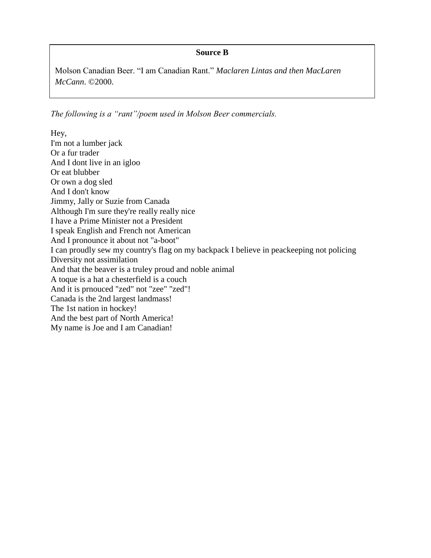#### **Source B**

Molson Canadian Beer. "I am Canadian Rant." *Maclaren Lintas and then MacLaren McCann*. ©2000.

*The following is a "rant"/poem used in Molson Beer commercials.* 

Hey, I'm not a lumber jack Or a fur trader And I dont live in an igloo Or eat blubber Or own a dog sled And I don't know Jimmy, Jally or Suzie from Canada Although I'm sure they're really really nice I have a Prime Minister not a President I speak English and French not American And I pronounce it about not "a-boot" I can proudly sew my country's flag on my backpack I believe in peackeeping not policing Diversity not assimilation And that the beaver is a truley proud and noble animal A toque is a hat a chesterfield is a couch And it is prnouced "zed" not "zee" "zed"! Canada is the 2nd largest landmass! The 1st nation in hockey! And the best part of North America! My name is Joe and I am Canadian!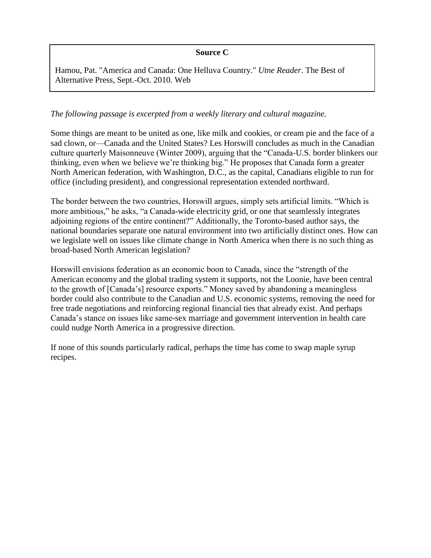# **Source C**

Hamou, Pat. "America and Canada: One Helluva Country." *Utne Reader*. The Best of Alternative Press, Sept.-Oct. 2010. Web

# *The following passage is excerpted from a weekly literary and cultural magazine.*

Some things are meant to be united as one, like milk and cookies, or cream pie and the face of a sad clown, or—Canada and the United States? Les Horswill concludes as much in the Canadian culture quarterly Maisonneuve (Winter 2009), arguing that the "Canada-U.S. border blinkers our thinking, even when we believe we're thinking big." He proposes that Canada form a greater North American federation, with Washington, D.C., as the capital, Canadians eligible to run for office (including president), and congressional representation extended northward.

The border between the two countries, Horswill argues, simply sets artificial limits. "Which is more ambitious," he asks, "a Canada-wide electricity grid, or one that seamlessly integrates adjoining regions of the entire continent?" Additionally, the Toronto-based author says, the national boundaries separate one natural environment into two artificially distinct ones. How can we legislate well on issues like climate change in North America when there is no such thing as broad-based North American legislation?

Horswill envisions federation as an economic boon to Canada, since the "strength of the American economy and the global trading system it supports, not the Loonie, have been central to the growth of [Canada's] resource exports." Money saved by abandoning a meaningless border could also contribute to the Canadian and U.S. economic systems, removing the need for free trade negotiations and reinforcing regional financial ties that already exist. And perhaps Canada's stance on issues like same-sex marriage and government intervention in health care could nudge North America in a progressive direction.

If none of this sounds particularly radical, perhaps the time has come to swap maple syrup recipes.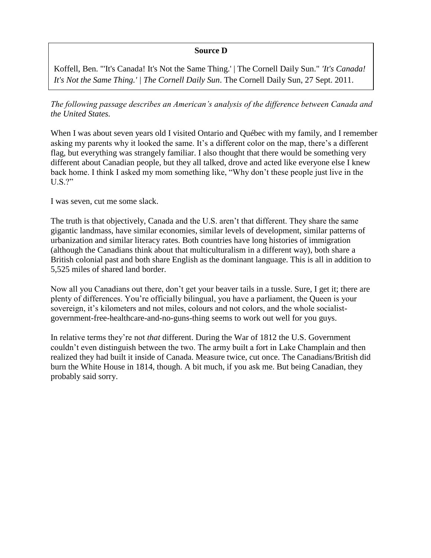# **Source D**

Koffell, Ben. "'It's Canada! It's Not the Same Thing.' | The Cornell Daily Sun." *'It's Canada! It's Not the Same Thing.' | The Cornell Daily Sun*. The Cornell Daily Sun, 27 Sept. 2011.

# *The following passage describes an American's analysis of the difference between Canada and the United States.*

When I was about seven years old I visited Ontario and Québec with my family, and I remember asking my parents why it looked the same. It's a different color on the map, there's a different flag, but everything was strangely familiar. I also thought that there would be something very different about Canadian people, but they all talked, drove and acted like everyone else I knew back home. I think I asked my mom something like, "Why don't these people just live in the U.S.?"

I was seven, cut me some slack.

The truth is that objectively, Canada and the U.S. aren't that different. They share the same gigantic landmass, have similar economies, similar levels of development, similar patterns of urbanization and similar literacy rates. Both countries have long histories of immigration (although the Canadians think about that multiculturalism in a different way), both share a British colonial past and both share English as the dominant language. This is all in addition to 5,525 miles of shared land border.

Now all you Canadians out there, don't get your beaver tails in a tussle. Sure, I get it; there are plenty of differences. You're officially bilingual, you have a parliament, the Queen is your sovereign, it's kilometers and not miles, colours and not colors, and the whole socialistgovernment-free-healthcare-and-no-guns-thing seems to work out well for you guys.

In relative terms they're not *that* different. During the War of 1812 the U.S. Government couldn't even distinguish between the two. The army built a fort in Lake Champlain and then realized they had built it inside of Canada. Measure twice, cut once. The Canadians/British did burn the White House in 1814, though. A bit much, if you ask me. But being Canadian, they probably said sorry.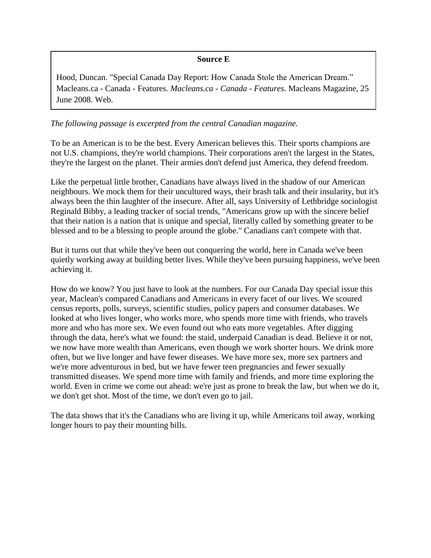#### **Source E**

Hood, Duncan. "Special Canada Day Report: How Canada Stole the American Dream." Macleans.ca - Canada - Features. *Macleans.ca - Canada - Features*. Macleans Magazine, 25 June 2008. Web.

## *The following passage is excerpted from the central Canadian magazine.*

To be an American is to be the best. Every American believes this. Their sports champions are not U.S. champions, they're world champions. Their corporations aren't the largest in the States, they're the largest on the planet. Their armies don't defend just America, they defend freedom.

Like the perpetual little brother, Canadians have always lived in the shadow of our American neighbours. We mock them for their uncultured ways, their brash talk and their insularity, but it's always been the thin laughter of the insecure. After all, says University of Lethbridge sociologist Reginald Bibby, a leading tracker of social trends, "Americans grow up with the sincere belief that their nation is a nation that is unique and special, literally called by something greater to be blessed and to be a blessing to people around the globe." Canadians can't compete with that.

But it turns out that while they've been out conquering the world, here in Canada we've been quietly working away at building better lives. While they've been pursuing happiness, we've been achieving it.

How do we know? You just have to look at the numbers. For our Canada Day special issue this year, Maclean's compared Canadians and Americans in every facet of our lives. We scoured census reports, polls, surveys, scientific studies, policy papers and consumer databases. We looked at who lives longer, who works more, who spends more time with friends, who travels more and who has more sex. We even found out who eats more vegetables. After digging through the data, here's what we found: the staid, underpaid Canadian is dead. Believe it or not, we now have more wealth than Americans, even though we work shorter hours. We drink more often, but we live longer and have fewer diseases. We have more sex, more sex partners and we're more adventurous in bed, but we have fewer teen pregnancies and fewer sexually transmitted diseases. We spend more time with family and friends, and more time exploring the world. Even in crime we come out ahead: we're just as prone to break the law, but when we do it, we don't get shot. Most of the time, we don't even go to jail.

The data shows that it's the Canadians who are living it up, while Americans toil away, working longer hours to pay their mounting bills.